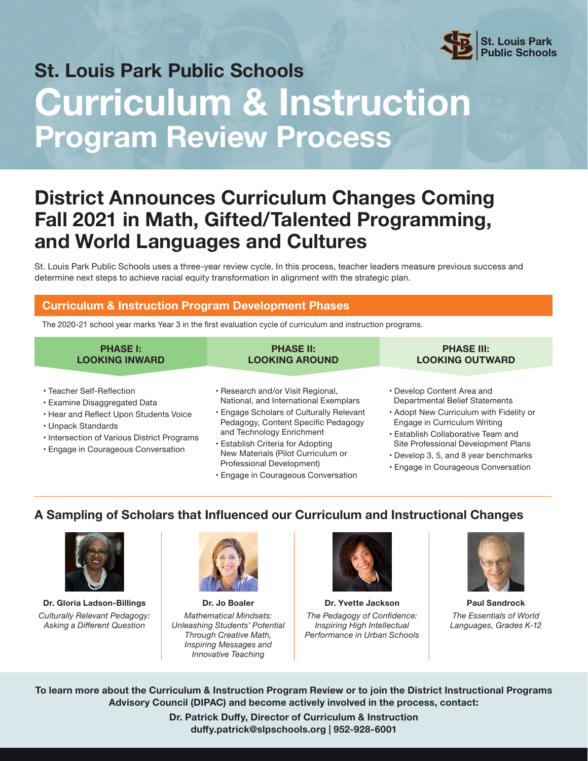

# **St. Louis Park Public Schools**

# **Curriculum & Instruction Program Review Process**

# **District Announces Curriculum Changes Coming Fall 2021 in Math, Gifted/Talented Programming, and World Languages and Cultures**

St. Louis Park Public Schools uses a three-year review cycle. In this process, teacher leaders measure previous success and determine next steps to achieve racial equity transformation in alignment with the strategic plan.

## **Curriculum & Instruction Program Development Phases**

The 2020-21 school year marks Year 3 in the first evaluation cycle of curriculum and instruction programs.

| <b>PHASE I:</b>       | <b>PHASE II:</b>      | <b>PHASE III:</b>      |
|-----------------------|-----------------------|------------------------|
| <b>LOOKING INWARD</b> | <b>LOOKING AROUND</b> | <b>LOOKING OUTWARD</b> |
|                       |                       |                        |

- Teacher Self-Reflection
- Examine Disaggregated Data
- Hear and Reflect Upon Students Voice
- Unpack Standards
- Intersection of Various District Programs
- Engage in Courageous Conversation
- Research and/or Visit Regional, National, and International Exemplars
- Engage Scholars of Culturally Relevant Pedagogy, Content Specific Pedagogy and Technology Enrichment
- Establish Criteria for Adopting New Materials (Pilot Curriculum or Professional Development)
- Engage in Courageous Conversation
- Develop Content Area and Departmental Belief Statements
- Adopt New Curriculum with Fidelity or Engage in Curriculum Writing
- Establish Collaborative Team and Site Professional Development Plans
- Develop 3, 5, and 8 year benchmarks
- Engage in Courageous Conversation

## **A Sampling of Scholars that Influenced our Curriculum and Instructional Changes**



**Dr. Gloria Ladson-Billings** *Culturally Relevant Pedagogy: Asking a Different Question*



**Dr. Jo Boaler** *Mathematical Mindsets: Unleashing Students' Potential Through Creative Math, Inspiring Messages and Innovative Teaching*



**Dr. Yvette Jackson** *The Pedagogy of Confidence: Inspiring High Intellectual Performance in Urban Schools* 



**Paul Sandrock** *The Essentials of World Languages, Grades K-12*

**To learn more about the Curriculum & Instruction Program Review or to join the District Instructional Programs Advisory Council (DIPAC) and become actively involved in the process, contact:**

> **Dr. Patrick Duffy, Director of Curriculum & Instruction duffy.patrick@slpschools.org | 952-928-6001**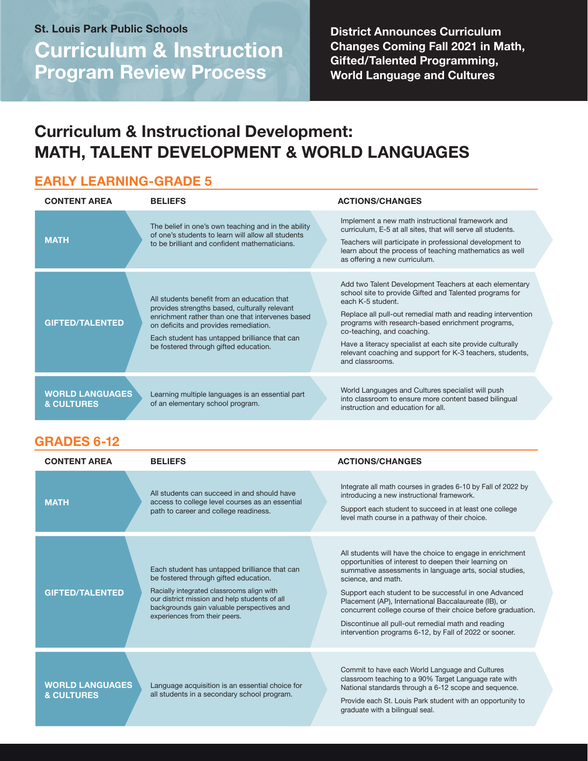**Curriculum & Instruction Program Review Process St. Louis Park Public Schools**

**District Announces Curriculum Changes Coming Fall 2021 in Math, Gifted/Talented Programming, World Language and Cultures**

# **Curriculum & Instructional Development: MATH, TALENT DEVELOPMENT & WORLD LANGUAGES**

## **EARLY LEARNING-GRADE 5**

| <b>CONTENT AREA</b>                             | <b>BELIEFS</b>                                                                                                                                                                                                                                                                      | <b>ACTIONS/CHANGES</b>                                                                                                                                                                                                                                                                                                                                                                                                                 |
|-------------------------------------------------|-------------------------------------------------------------------------------------------------------------------------------------------------------------------------------------------------------------------------------------------------------------------------------------|----------------------------------------------------------------------------------------------------------------------------------------------------------------------------------------------------------------------------------------------------------------------------------------------------------------------------------------------------------------------------------------------------------------------------------------|
| <b>MATH</b>                                     | The belief in one's own teaching and in the ability<br>of one's students to learn will allow all students<br>to be brilliant and confident mathematicians.                                                                                                                          | Implement a new math instructional framework and<br>curriculum, E-5 at all sites, that will serve all students.<br>Teachers will participate in professional development to<br>learn about the process of teaching mathematics as well<br>as offering a new curriculum.                                                                                                                                                                |
| <b>GIFTED/TALENTED</b>                          | All students benefit from an education that<br>provides strengths based, culturally relevant<br>enrichment rather than one that intervenes based<br>on deficits and provides remediation.<br>Each student has untapped brilliance that can<br>be fostered through gifted education. | Add two Talent Development Teachers at each elementary<br>school site to provide Gifted and Talented programs for<br>each K-5 student.<br>Replace all pull-out remedial math and reading intervention<br>programs with research-based enrichment programs,<br>co-teaching, and coaching.<br>Have a literacy specialist at each site provide culturally<br>relevant coaching and support for K-3 teachers, students,<br>and classrooms. |
| <b>WORLD LANGUAGES</b><br><b>&amp; CULTURES</b> | Learning multiple languages is an essential part<br>of an elementary school program.                                                                                                                                                                                                | World Languages and Cultures specialist will push<br>into classroom to ensure more content based bilingual<br>instruction and education for all.                                                                                                                                                                                                                                                                                       |

## **GRADES 6-12**

| <b>CONTENT AREA</b>                             | <b>BELIEFS</b>                                                                                                                                                                                                                                                      | <b>ACTIONS/CHANGES</b>                                                                                                                                                                                                                                                                                                                                                                                                                                                                               |
|-------------------------------------------------|---------------------------------------------------------------------------------------------------------------------------------------------------------------------------------------------------------------------------------------------------------------------|------------------------------------------------------------------------------------------------------------------------------------------------------------------------------------------------------------------------------------------------------------------------------------------------------------------------------------------------------------------------------------------------------------------------------------------------------------------------------------------------------|
| <b>MATH</b>                                     | All students can succeed in and should have<br>access to college level courses as an essential<br>path to career and college readiness.                                                                                                                             | Integrate all math courses in grades 6-10 by Fall of 2022 by<br>introducing a new instructional framework.<br>Support each student to succeed in at least one college<br>level math course in a pathway of their choice.                                                                                                                                                                                                                                                                             |
| <b>GIFTED/TALENTED</b>                          | Each student has untapped brilliance that can<br>be fostered through gifted education.<br>Racially integrated classrooms align with<br>our district mission and help students of all<br>backgrounds gain valuable perspectives and<br>experiences from their peers. | All students will have the choice to engage in enrichment<br>opportunities of interest to deepen their learning on<br>summative assessments in language arts, social studies,<br>science, and math.<br>Support each student to be successful in one Advanced<br>Placement (AP), International Baccalaureate (IB), or<br>concurrent college course of their choice before graduation.<br>Discontinue all pull-out remedial math and reading<br>intervention programs 6-12, by Fall of 2022 or sooner. |
| <b>WORLD LANGUAGES</b><br><b>&amp; CULTURES</b> | Language acquisition is an essential choice for<br>all students in a secondary school program.                                                                                                                                                                      | Commit to have each World Language and Cultures<br>classroom teaching to a 90% Target Language rate with<br>National standards through a 6-12 scope and sequence.<br>Provide each St. Louis Park student with an opportunity to<br>graduate with a bilingual seal.                                                                                                                                                                                                                                   |